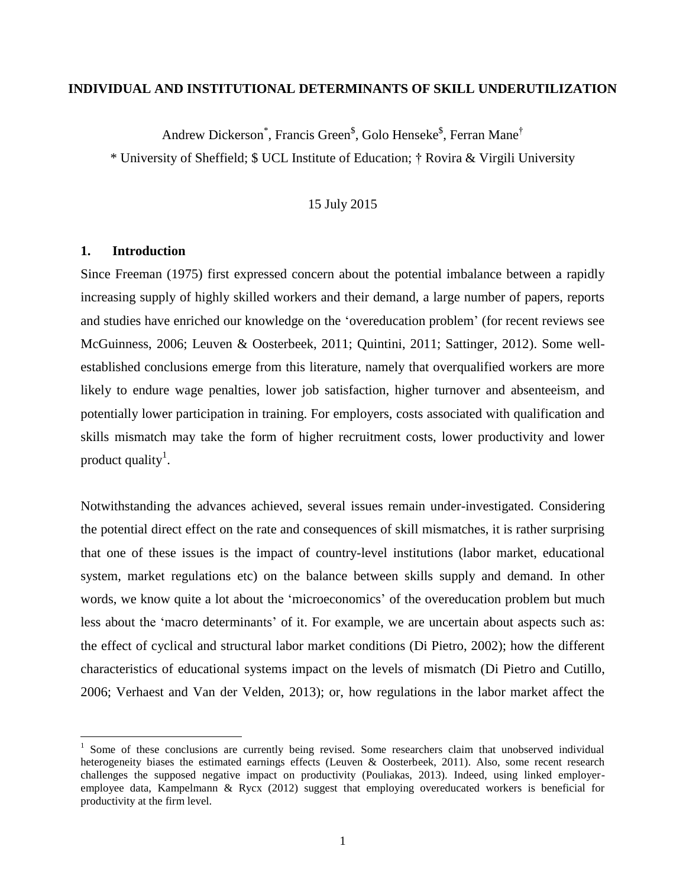## **INDIVIDUAL AND INSTITUTIONAL DETERMINANTS OF SKILL UNDERUTILIZATION**

Andrew Dickerson<sup>\*</sup>, Francis Green<sup>\$</sup>, Golo Henseke<sup>\$</sup>, Ferran Mane<sup>†</sup>

\* University of Sheffield; \$ UCL Institute of Education; † Rovira & Virgili University

#### 15 July 2015

#### **1. Introduction**

 $\overline{a}$ 

Since Freeman (1975) first expressed concern about the potential imbalance between a rapidly increasing supply of highly skilled workers and their demand, a large number of papers, reports and studies have enriched our knowledge on the 'overeducation problem' (for recent reviews see McGuinness, 2006; Leuven & Oosterbeek, 2011; Quintini, 2011; Sattinger, 2012). Some wellestablished conclusions emerge from this literature, namely that overqualified workers are more likely to endure wage penalties, lower job satisfaction, higher turnover and absenteeism, and potentially lower participation in training. For employers, costs associated with qualification and skills mismatch may take the form of higher recruitment costs, lower productivity and lower product quality<sup>1</sup>.

Notwithstanding the advances achieved, several issues remain under-investigated. Considering the potential direct effect on the rate and consequences of skill mismatches, it is rather surprising that one of these issues is the impact of country-level institutions (labor market, educational system, market regulations etc) on the balance between skills supply and demand. In other words, we know quite a lot about the 'microeconomics' of the overeducation problem but much less about the 'macro determinants' of it. For example, we are uncertain about aspects such as: the effect of cyclical and structural labor market conditions (Di Pietro, 2002); how the different characteristics of educational systems impact on the levels of mismatch (Di Pietro and Cutillo, 2006; Verhaest and Van der Velden, 2013); or, how regulations in the labor market affect the

<sup>&</sup>lt;sup>1</sup> Some of these conclusions are currently being revised. Some researchers claim that unobserved individual heterogeneity biases the estimated earnings effects (Leuven & Oosterbeek, 2011). Also, some recent research challenges the supposed negative impact on productivity (Pouliakas, 2013). Indeed, using linked employeremployee data, Kampelmann & Rycx (2012) suggest that employing overeducated workers is beneficial for productivity at the firm level.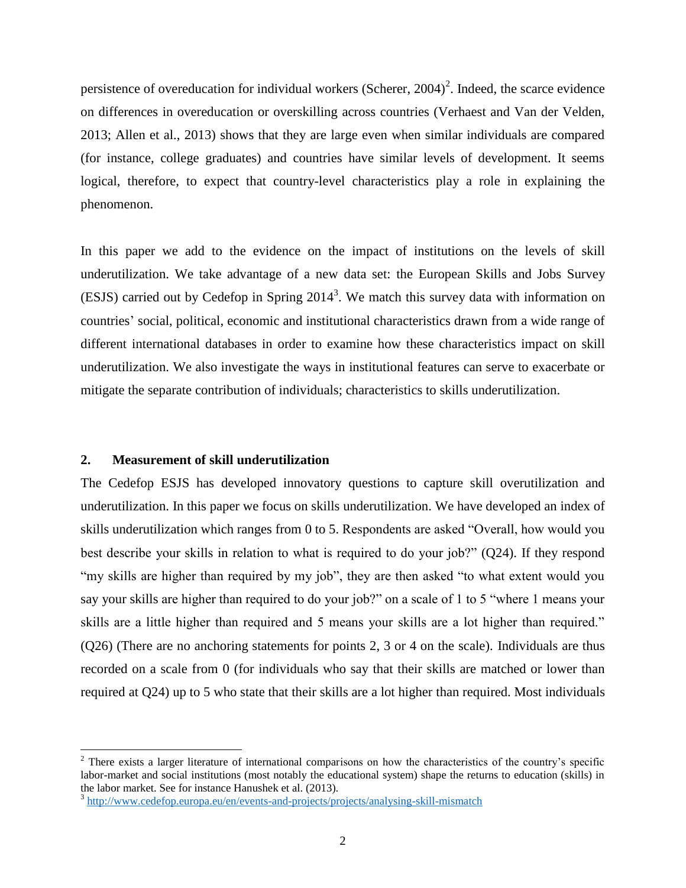persistence of overeducation for individual workers (Scherer,  $2004$ )<sup>2</sup>. Indeed, the scarce evidence on differences in overeducation or overskilling across countries (Verhaest and Van der Velden, 2013; Allen et al., 2013) shows that they are large even when similar individuals are compared (for instance, college graduates) and countries have similar levels of development. It seems logical, therefore, to expect that country-level characteristics play a role in explaining the phenomenon.

In this paper we add to the evidence on the impact of institutions on the levels of skill underutilization. We take advantage of a new data set: the European Skills and Jobs Survey (ESJS) carried out by Cedefop in Spring  $2014<sup>3</sup>$ . We match this survey data with information on countries' social, political, economic and institutional characteristics drawn from a wide range of different international databases in order to examine how these characteristics impact on skill underutilization. We also investigate the ways in institutional features can serve to exacerbate or mitigate the separate contribution of individuals; characteristics to skills underutilization.

#### **2. Measurement of skill underutilization**

 $\overline{\phantom{a}}$ 

The Cedefop ESJS has developed innovatory questions to capture skill overutilization and underutilization. In this paper we focus on skills underutilization. We have developed an index of skills underutilization which ranges from 0 to 5. Respondents are asked "Overall, how would you best describe your skills in relation to what is required to do your job?" (Q24). If they respond "my skills are higher than required by my job", they are then asked "to what extent would you say your skills are higher than required to do your job?" on a scale of 1 to 5 "where 1 means your skills are a little higher than required and 5 means your skills are a lot higher than required." (Q26) (There are no anchoring statements for points 2, 3 or 4 on the scale). Individuals are thus recorded on a scale from 0 (for individuals who say that their skills are matched or lower than required at Q24) up to 5 who state that their skills are a lot higher than required. Most individuals

<sup>&</sup>lt;sup>2</sup> There exists a larger literature of international comparisons on how the characteristics of the country's specific labor-market and social institutions (most notably the educational system) shape the returns to education (skills) in the labor market. See for instance Hanushek et al. (2013).

<sup>&</sup>lt;sup>3</sup> <http://www.cedefop.europa.eu/en/events-and-projects/projects/analysing-skill-mismatch>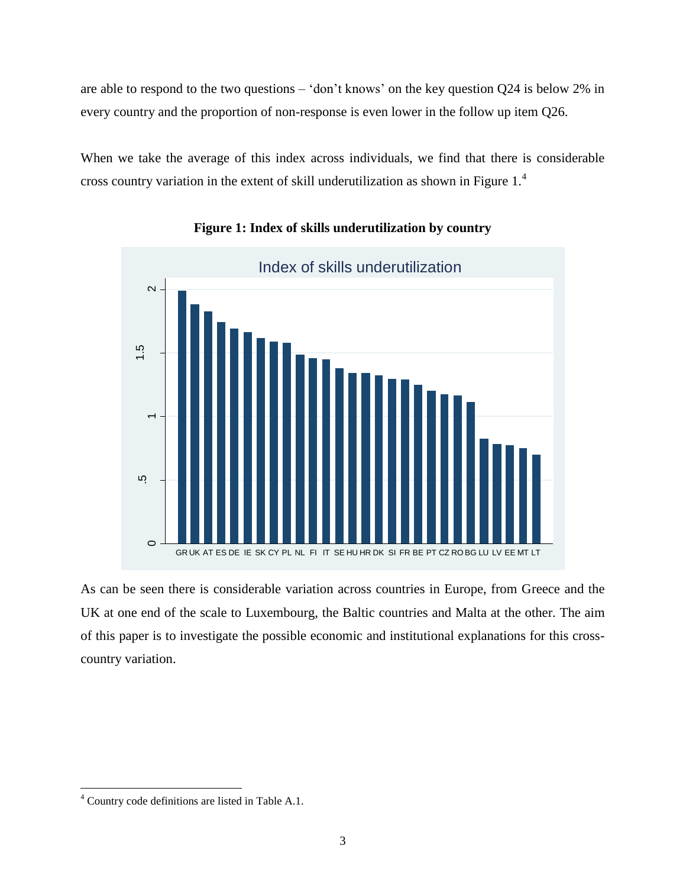are able to respond to the two questions – 'don't knows' on the key question Q24 is below 2% in every country and the proportion of non-response is even lower in the follow up item Q26.

When we take the average of this index across individuals, we find that there is considerable cross country variation in the extent of skill underutilization as shown in Figure 1.<sup>4</sup>



# **Figure 1: Index of skills underutilization by country**

As can be seen there is considerable variation across countries in Europe, from Greece and the UK at one end of the scale to Luxembourg, the Baltic countries and Malta at the other. The aim of this paper is to investigate the possible economic and institutional explanations for this crosscountry variation.

 $\overline{\phantom{a}}$ 

<sup>4</sup> Country code definitions are listed in Table A.1.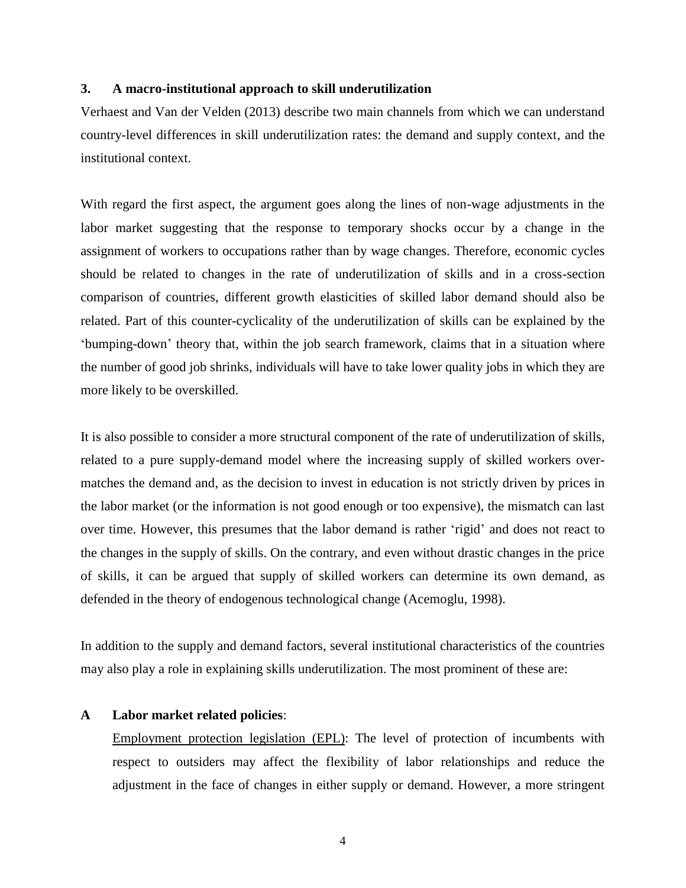#### **3. A macro-institutional approach to skill underutilization**

Verhaest and Van der Velden (2013) describe two main channels from which we can understand country-level differences in skill underutilization rates: the demand and supply context, and the institutional context.

With regard the first aspect, the argument goes along the lines of non-wage adjustments in the labor market suggesting that the response to temporary shocks occur by a change in the assignment of workers to occupations rather than by wage changes. Therefore, economic cycles should be related to changes in the rate of underutilization of skills and in a cross-section comparison of countries, different growth elasticities of skilled labor demand should also be related. Part of this counter-cyclicality of the underutilization of skills can be explained by the 'bumping-down' theory that, within the job search framework, claims that in a situation where the number of good job shrinks, individuals will have to take lower quality jobs in which they are more likely to be overskilled.

It is also possible to consider a more structural component of the rate of underutilization of skills, related to a pure supply-demand model where the increasing supply of skilled workers overmatches the demand and, as the decision to invest in education is not strictly driven by prices in the labor market (or the information is not good enough or too expensive), the mismatch can last over time. However, this presumes that the labor demand is rather 'rigid' and does not react to the changes in the supply of skills. On the contrary, and even without drastic changes in the price of skills, it can be argued that supply of skilled workers can determine its own demand, as defended in the theory of endogenous technological change (Acemoglu, 1998).

In addition to the supply and demand factors, several institutional characteristics of the countries may also play a role in explaining skills underutilization. The most prominent of these are:

#### **A Labor market related policies**:

Employment protection legislation (EPL): The level of protection of incumbents with respect to outsiders may affect the flexibility of labor relationships and reduce the adjustment in the face of changes in either supply or demand. However, a more stringent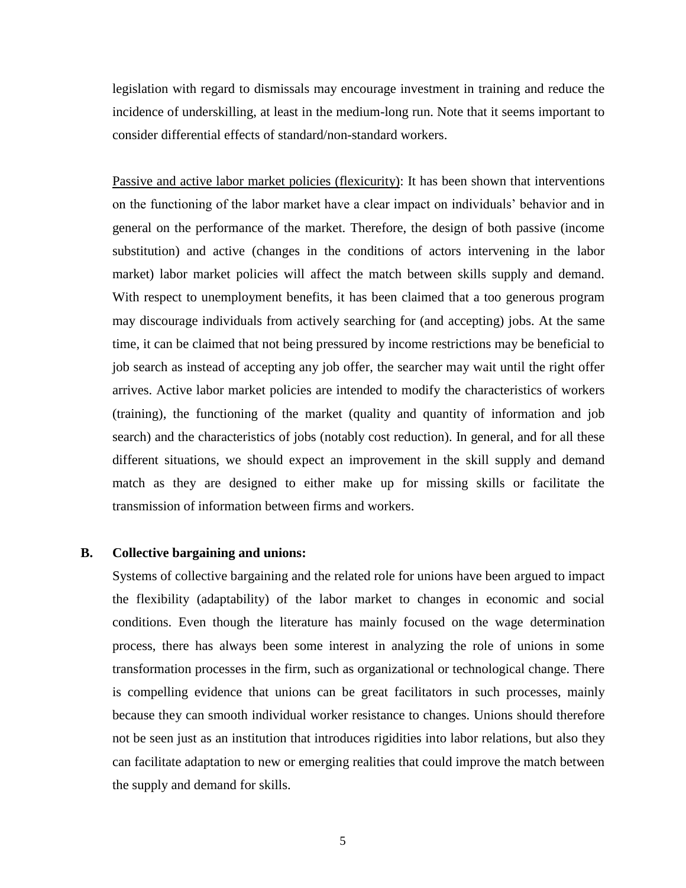legislation with regard to dismissals may encourage investment in training and reduce the incidence of underskilling, at least in the medium-long run. Note that it seems important to consider differential effects of standard/non-standard workers.

Passive and active labor market policies (flexicurity): It has been shown that interventions on the functioning of the labor market have a clear impact on individuals' behavior and in general on the performance of the market. Therefore, the design of both passive (income substitution) and active (changes in the conditions of actors intervening in the labor market) labor market policies will affect the match between skills supply and demand. With respect to unemployment benefits, it has been claimed that a too generous program may discourage individuals from actively searching for (and accepting) jobs. At the same time, it can be claimed that not being pressured by income restrictions may be beneficial to job search as instead of accepting any job offer, the searcher may wait until the right offer arrives. Active labor market policies are intended to modify the characteristics of workers (training), the functioning of the market (quality and quantity of information and job search) and the characteristics of jobs (notably cost reduction). In general, and for all these different situations, we should expect an improvement in the skill supply and demand match as they are designed to either make up for missing skills or facilitate the transmission of information between firms and workers.

#### **B. Collective bargaining and unions:**

Systems of collective bargaining and the related role for unions have been argued to impact the flexibility (adaptability) of the labor market to changes in economic and social conditions. Even though the literature has mainly focused on the wage determination process, there has always been some interest in analyzing the role of unions in some transformation processes in the firm, such as organizational or technological change. There is compelling evidence that unions can be great facilitators in such processes, mainly because they can smooth individual worker resistance to changes. Unions should therefore not be seen just as an institution that introduces rigidities into labor relations, but also they can facilitate adaptation to new or emerging realities that could improve the match between the supply and demand for skills.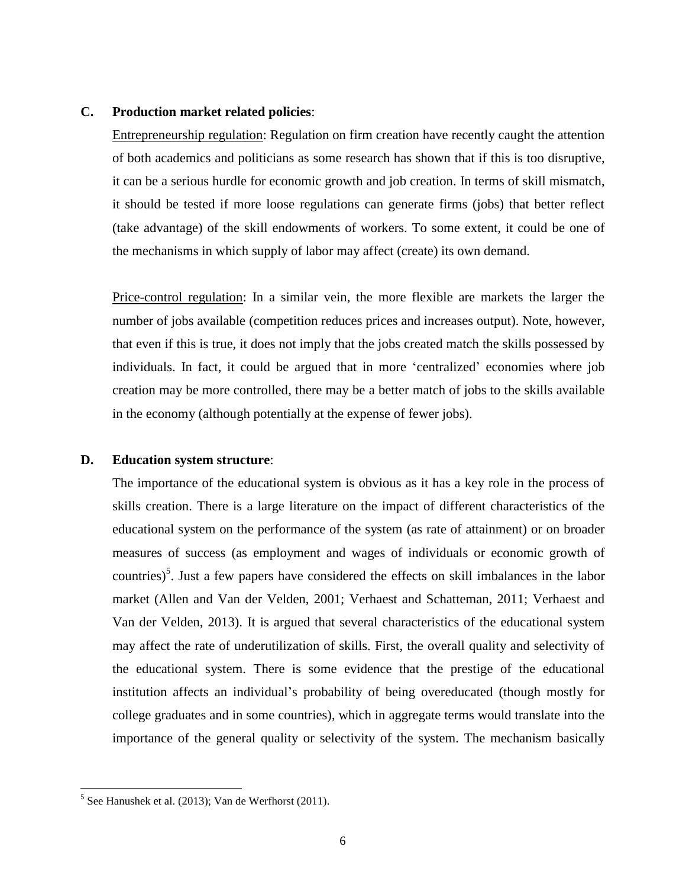## **C. Production market related policies**:

Entrepreneurship regulation: Regulation on firm creation have recently caught the attention of both academics and politicians as some research has shown that if this is too disruptive, it can be a serious hurdle for economic growth and job creation. In terms of skill mismatch, it should be tested if more loose regulations can generate firms (jobs) that better reflect (take advantage) of the skill endowments of workers. To some extent, it could be one of the mechanisms in which supply of labor may affect (create) its own demand.

Price-control regulation: In a similar vein, the more flexible are markets the larger the number of jobs available (competition reduces prices and increases output). Note, however, that even if this is true, it does not imply that the jobs created match the skills possessed by individuals. In fact, it could be argued that in more 'centralized' economies where job creation may be more controlled, there may be a better match of jobs to the skills available in the economy (although potentially at the expense of fewer jobs).

## **D. Education system structure**:

The importance of the educational system is obvious as it has a key role in the process of skills creation. There is a large literature on the impact of different characteristics of the educational system on the performance of the system (as rate of attainment) or on broader measures of success (as employment and wages of individuals or economic growth of countries)<sup>5</sup>. Just a few papers have considered the effects on skill imbalances in the labor market (Allen and Van der Velden, 2001; Verhaest and Schatteman, 2011; Verhaest and Van der Velden, 2013). It is argued that several characteristics of the educational system may affect the rate of underutilization of skills. First, the overall quality and selectivity of the educational system. There is some evidence that the prestige of the educational institution affects an individual's probability of being overeducated (though mostly for college graduates and in some countries), which in aggregate terms would translate into the importance of the general quality or selectivity of the system. The mechanism basically

 $\overline{\phantom{a}}$ 

 $<sup>5</sup>$  See Hanushek et al. (2013); Van de Werfhorst (2011).</sup>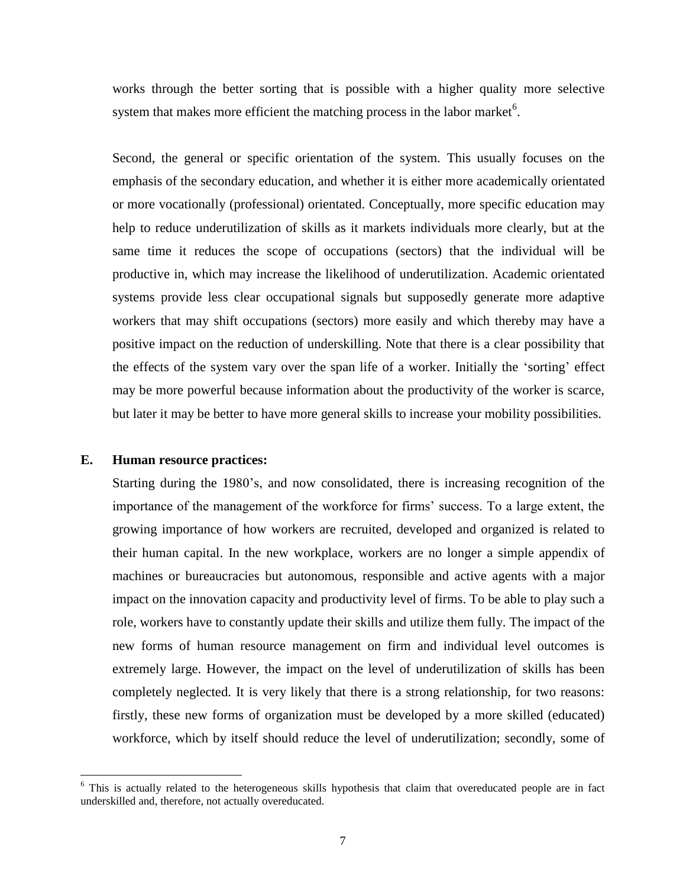works through the better sorting that is possible with a higher quality more selective system that makes more efficient the matching process in the labor market $6$ .

Second, the general or specific orientation of the system. This usually focuses on the emphasis of the secondary education, and whether it is either more academically orientated or more vocationally (professional) orientated. Conceptually, more specific education may help to reduce underutilization of skills as it markets individuals more clearly, but at the same time it reduces the scope of occupations (sectors) that the individual will be productive in, which may increase the likelihood of underutilization. Academic orientated systems provide less clear occupational signals but supposedly generate more adaptive workers that may shift occupations (sectors) more easily and which thereby may have a positive impact on the reduction of underskilling. Note that there is a clear possibility that the effects of the system vary over the span life of a worker. Initially the 'sorting' effect may be more powerful because information about the productivity of the worker is scarce, but later it may be better to have more general skills to increase your mobility possibilities.

#### **E. Human resource practices:**

 $\overline{\phantom{a}}$ 

Starting during the 1980's, and now consolidated, there is increasing recognition of the importance of the management of the workforce for firms' success. To a large extent, the growing importance of how workers are recruited, developed and organized is related to their human capital. In the new workplace, workers are no longer a simple appendix of machines or bureaucracies but autonomous, responsible and active agents with a major impact on the innovation capacity and productivity level of firms. To be able to play such a role, workers have to constantly update their skills and utilize them fully. The impact of the new forms of human resource management on firm and individual level outcomes is extremely large. However, the impact on the level of underutilization of skills has been completely neglected. It is very likely that there is a strong relationship, for two reasons: firstly, these new forms of organization must be developed by a more skilled (educated) workforce, which by itself should reduce the level of underutilization; secondly, some of

 $6$  This is actually related to the heterogeneous skills hypothesis that claim that overeducated people are in fact underskilled and, therefore, not actually overeducated.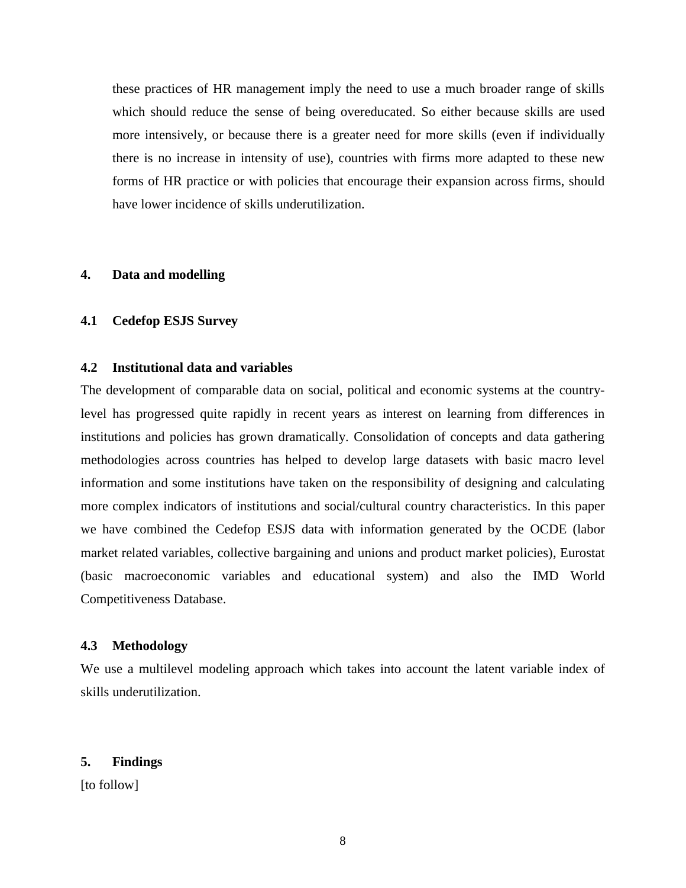these practices of HR management imply the need to use a much broader range of skills which should reduce the sense of being overeducated. So either because skills are used more intensively, or because there is a greater need for more skills (even if individually there is no increase in intensity of use), countries with firms more adapted to these new forms of HR practice or with policies that encourage their expansion across firms, should have lower incidence of skills underutilization.

#### **4. Data and modelling**

#### **4.1 Cedefop ESJS Survey**

# **4.2 Institutional data and variables**

The development of comparable data on social, political and economic systems at the countrylevel has progressed quite rapidly in recent years as interest on learning from differences in institutions and policies has grown dramatically. Consolidation of concepts and data gathering methodologies across countries has helped to develop large datasets with basic macro level information and some institutions have taken on the responsibility of designing and calculating more complex indicators of institutions and social/cultural country characteristics. In this paper we have combined the Cedefop ESJS data with information generated by the OCDE (labor market related variables, collective bargaining and unions and product market policies), Eurostat (basic macroeconomic variables and educational system) and also the IMD World Competitiveness Database.

#### **4.3 Methodology**

We use a multilevel modeling approach which takes into account the latent variable index of skills underutilization.

#### **5. Findings**

[to follow]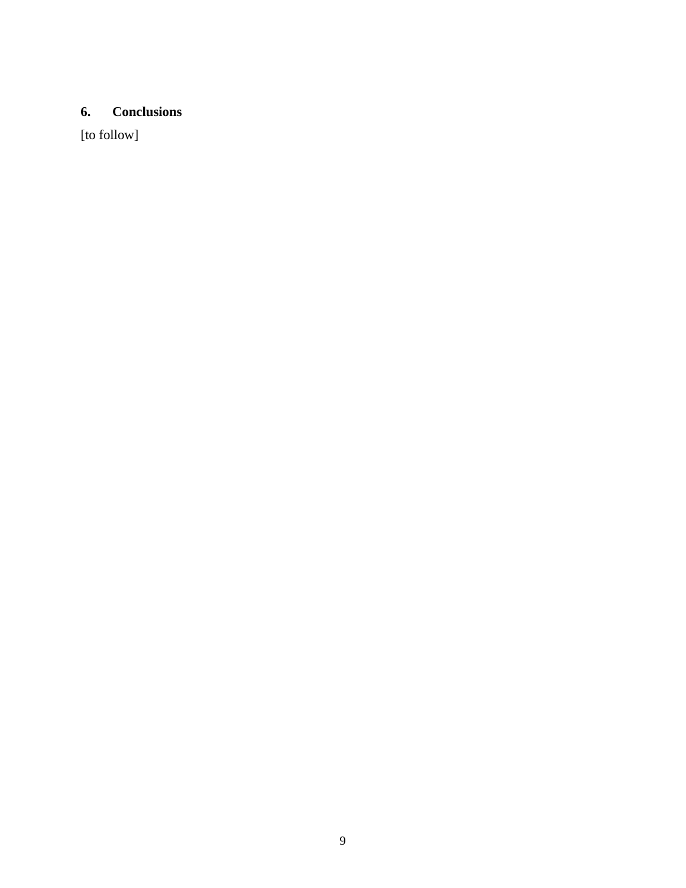# **6. Conclusions**

[to follow]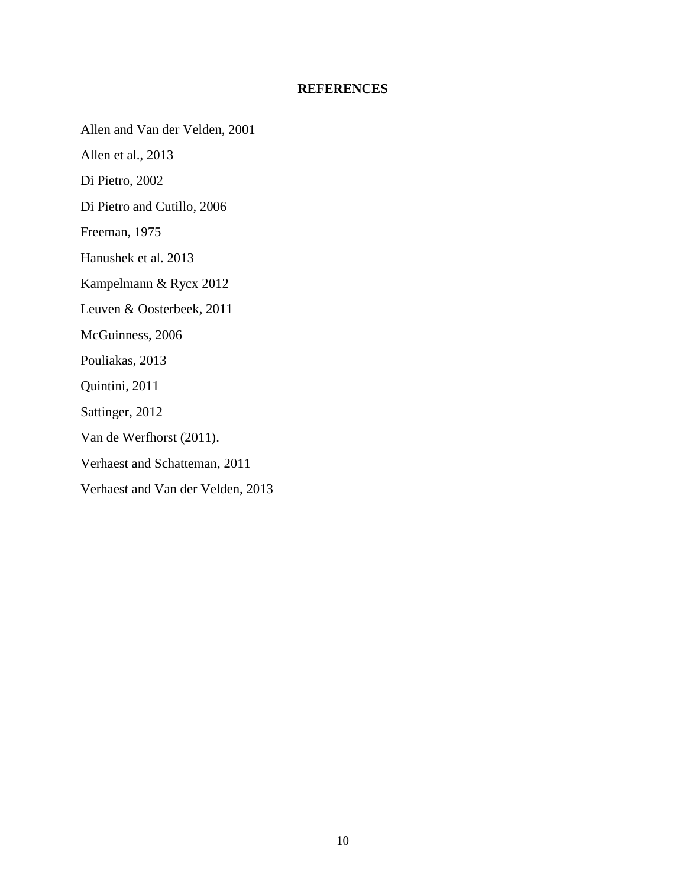## **REFERENCES**

Allen and Van der Velden, 2001

Allen et al., 2013

Di Pietro, 2002

Di Pietro and Cutillo, 2006

Freeman, 1975

Hanushek et al. 2013

Kampelmann & Rycx 2012

Leuven & Oosterbeek, 2011

McGuinness, 2006

Pouliakas, 2013

Quintini, 2011

Sattinger, 2012

Van de Werfhorst (2011).

Verhaest and Schatteman, 2011

Verhaest and Van der Velden, 2013